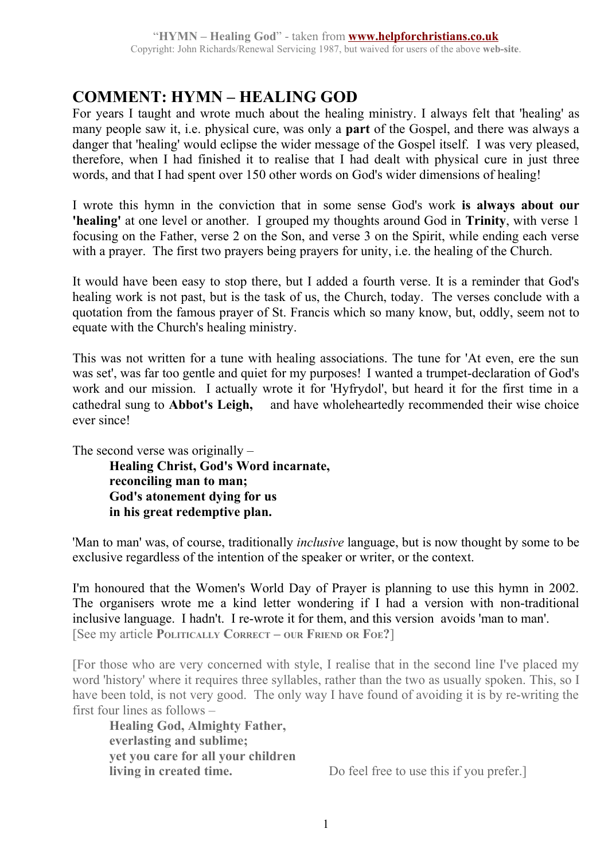# **COMMENT: HYMN – HEALING GOD**

For years I taught and wrote much about the healing ministry. I always felt that 'healing' as many people saw it, i.e. physical cure, was only a **part** of the Gospel, and there was always a danger that 'healing' would eclipse the wider message of the Gospel itself. I was very pleased, therefore, when I had finished it to realise that I had dealt with physical cure in just three words, and that I had spent over 150 other words on God's wider dimensions of healing!

I wrote this hymn in the conviction that in some sense God's work **is always about our 'healing'** at one level or another. I grouped my thoughts around God in **Trinity**, with verse 1 focusing on the Father, verse 2 on the Son, and verse 3 on the Spirit, while ending each verse with a prayer. The first two prayers being prayers for unity, i.e. the healing of the Church.

It would have been easy to stop there, but I added a fourth verse. It is a reminder that God's healing work is not past, but is the task of us, the Church, today. The verses conclude with a quotation from the famous prayer of St. Francis which so many know, but, oddly, seem not to equate with the Church's healing ministry.

This was not written for a tune with healing associations. The tune for 'At even, ere the sun was set', was far too gentle and quiet for my purposes! I wanted a trumpet-declaration of God's work and our mission. I actually wrote it for 'Hyfrydol', but heard it for the first time in a cathedral sung to **Abbot's Leigh,** —and have wholeheartedly recommended their wise choice ever since!

The second verse was originally –

**Healing Christ, God's Word incarnate, reconciling man to man; God's atonement dying for us in his great redemptive plan.**

'Man to man' was, of course, traditionally *inclusive* language, but is now thought by some to be exclusive regardless of the intention of the speaker or writer, or the context.

I'm honoured that the Women's World Day of Prayer is planning to use this hymn in 2002. The organisers wrote me a kind letter wondering if I had a version with non-traditional inclusive language. I hadn't. I re-wrote it for them, and this version avoids 'man to man'. [See my article **POLITICALLY CORRECT – OUR FRIEND OR FOE?**]

[For those who are very concerned with style, I realise that in the second line I've placed my word 'history' where it requires three syllables, rather than the two as usually spoken. This, so I have been told, is not very good. The only way I have found of avoiding it is by re-writing the first four lines as follows –

**Healing God, Almighty Father, everlasting and sublime; yet you care for all your children**

**living in created time.** Do feel free to use this if you prefer.